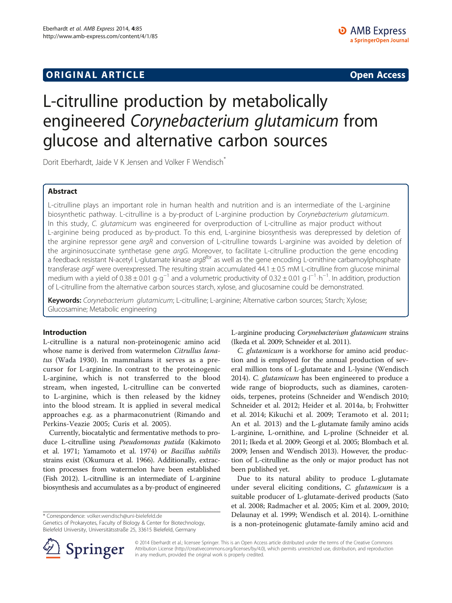## **ORIGINAL ARTICLE CONSUMING A LIGACION** CONSUMING A LIGACION CONSUMING A LIGACION CONSUMING A LIGACION CONSUMING A LIGACION CONSUMING A LIGACION CONSUMING A LIGACION CONSUMING A LIGACION CONSUMING A LIGACION CONSUMING A

# L-citrulline production by metabolically engineered Corynebacterium glutamicum from glucose and alternative carbon sources

Dorit Eberhardt, Jaide V K Jensen and Volker F Wendisch<sup>\*</sup>

## Abstract

L-citrulline plays an important role in human health and nutrition and is an intermediate of the L-arginine biosynthetic pathway. L-citrulline is a by-product of L-arginine production by Corynebacterium glutamicum. In this study, C. glutamicum was engineered for overproduction of L-citrulline as major product without L-arginine being produced as by-product. To this end, L-arginine biosynthesis was derepressed by deletion of the arginine repressor gene *argR* and conversion of L-citrulline towards L-arginine was avoided by deletion of the argininosuccinate synthetase gene argG. Moreover, to facilitate L-citrulline production the gene encoding a feedback resistant N-acetyl L-glutamate kinase  $argB<sup>fbr</sup>$  as well as the gene encoding L-ornithine carbamoylphosphate transferase argF were overexpressed. The resulting strain accumulated  $44.1 \pm 0.5$  mM L-citrulline from glucose minimal medium with a yield of 0.38 ± 0.01 g⋅g<sup>-1</sup> and a volumetric productivity of 0.32 ± 0.01 g⋅l<sup>-1</sup>⋅h<sup>-1</sup>. In addition, production of L-citrulline from the alternative carbon sources starch, xylose, and glucosamine could be demonstrated.

Keywords: Corynebacterium glutamicum; L-citrulline; L-arginine; Alternative carbon sources; Starch; Xylose; Glucosamine; Metabolic engineering

## Introduction

L-citrulline is a natural non-proteinogenic amino acid whose name is derived from watermelon Citrullus lanatus (Wada [1930](#page-8-0)). In mammalians it serves as a precursor for L-arginine. In contrast to the proteinogenic L-arginine, which is not transferred to the blood stream, when ingested, L-citrulline can be converted to L-arginine, which is then released by the kidney into the blood stream. It is applied in several medical approaches e.g. as a pharmaconutrient (Rimando and Perkins-Veazie [2005](#page-7-0); Curis et al. [2005\)](#page-7-0).

Currently, biocatalytic and fermentative methods to produce L-citrulline using Pseudomonas putida (Kakimoto et al. [1971](#page-7-0); Yamamoto et al. [1974\)](#page-8-0) or Bacillus subtilis strains exist (Okumura et al. [1966\)](#page-7-0). Additionally, extraction processes from watermelon have been established (Fish [2012\)](#page-7-0). L-citrulline is an intermediate of L-arginine biosynthesis and accumulates as a by-product of engineered

\* Correspondence: [volker.wendisch@uni-bielefeld.de](mailto:volker.wendisch@uni-bielefeld.de)

Genetics of Prokaryotes, Faculty of Biology & Center for Biotechnology, Bielefeld University, Universitätsstraße 25, 33615 Bielefeld, Germany



C. glutamicum is a workhorse for amino acid production and is employed for the annual production of several million tons of L-glutamate and L-lysine (Wendisch [2014](#page-8-0)). C. glutamicum has been engineered to produce a wide range of bioproducts, such as diamines, carotenoids, terpenes, proteins (Schneider and Wendisch [2010](#page-7-0); Schneider et al. [2012;](#page-8-0) Heider et al. [2014a](#page-7-0), [b;](#page-7-0) Frohwitter et al. [2014](#page-7-0); Kikuchi et al. [2009](#page-7-0); Teramoto et al. [2011](#page-8-0); An et al. [2013](#page-7-0)) and the L-glutamate family amino acids L-arginine, L-ornithine, and L-proline (Schneider et al. [2011;](#page-7-0) Ikeda et al. [2009;](#page-7-0) Georgi et al. [2005](#page-7-0); Blombach et al. [2009;](#page-7-0) Jensen and Wendisch [2013\)](#page-7-0). However, the production of L-citrulline as the only or major product has not been published yet.

Due to its natural ability to produce L-glutamate under several eliciting conditions, C. glutamicum is a suitable producer of L-glutamate-derived products (Sato et al. [2008](#page-7-0); Radmacher et al. [2005;](#page-7-0) Kim et al. [2009, 2010](#page-7-0); Delaunay et al. [1999;](#page-7-0) Wendisch et al. [2014](#page-8-0)). L-ornithine is a non-proteinogenic glutamate-family amino acid and



© 2014 Eberhardt et al.; licensee Springer. This is an Open Access article distributed under the terms of the Creative Commons Attribution License [\(http://creativecommons.org/licenses/by/4.0\)](http://creativecommons.org/licenses/by/4.0), which permits unrestricted use, distribution, and reproduction in any medium, provided the original work is properly credited.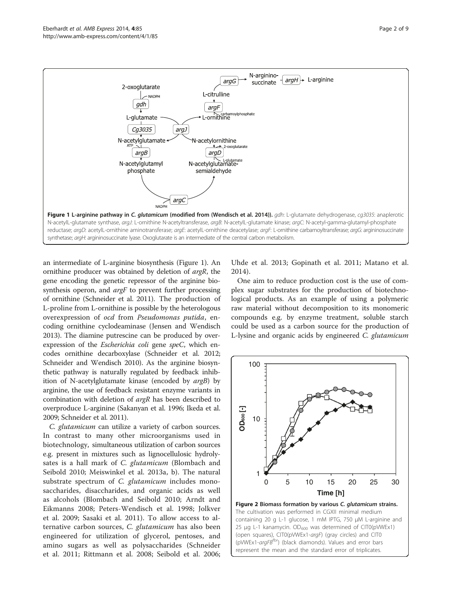<span id="page-1-0"></span>

an intermediate of L-arginine biosynthesis (Figure 1). An ornithine producer was obtained by deletion of argR, the gene encoding the genetic repressor of the arginine biosynthesis operon, and *argF* to prevent further processing of ornithine (Schneider et al. [2011](#page-7-0)). The production of L-proline from L-ornithine is possible by the heterologous overexpression of ocd from Pseudomonas putida, encoding ornithine cyclodeaminase (Jensen and Wendisch [2013\)](#page-7-0). The diamine putrescine can be produced by overexpression of the Escherichia coli gene speC, which encodes ornithine decarboxylase (Schneider et al. [2012](#page-8-0); Schneider and Wendisch [2010](#page-7-0)). As the arginine biosynthetic pathway is naturally regulated by feedback inhibition of N-acetylglutamate kinase (encoded by argB) by arginine, the use of feedback resistant enzyme variants in combination with deletion of argR has been described to overproduce L-arginine (Sakanyan et al. [1996;](#page-7-0) Ikeda et al. [2009;](#page-7-0) Schneider et al. [2011\)](#page-7-0).

C. glutamicum can utilize a variety of carbon sources. In contrast to many other microorganisms used in biotechnology, simultaneous utilization of carbon sources e.g. present in mixtures such as lignocellulosic hydrolysates is a hall mark of C. glutamicum (Blombach and Seibold [2010](#page-7-0); Meiswinkel et al. [2013a](#page-7-0), [b\)](#page-7-0). The natural substrate spectrum of C. glutamicum includes monosaccharides, disaccharides, and organic acids as well as alcohols (Blombach and Seibold [2010](#page-7-0); Arndt and Eikmanns [2008;](#page-7-0) Peters-Wendisch et al. [1998](#page-7-0); Jolkver et al. [2009](#page-7-0); Sasaki et al. [2011\)](#page-7-0). To allow access to alternative carbon sources, C. glutamicum has also been engineered for utilization of glycerol, pentoses, and amino sugars as well as polysaccharides (Schneider et al. [2011](#page-7-0); Rittmann et al. [2008;](#page-7-0) Seibold et al. [2006](#page-8-0); Uhde et al. [2013;](#page-8-0) Gopinath et al. [2011;](#page-7-0) Matano et al. [2014\)](#page-7-0).

One aim to reduce production cost is the use of complex sugar substrates for the production of biotechnological products. As an example of using a polymeric raw material without decomposition to its monomeric compounds e.g. by enzyme treatment, soluble starch could be used as a carbon source for the production of L-lysine and organic acids by engineered C. glutamicum

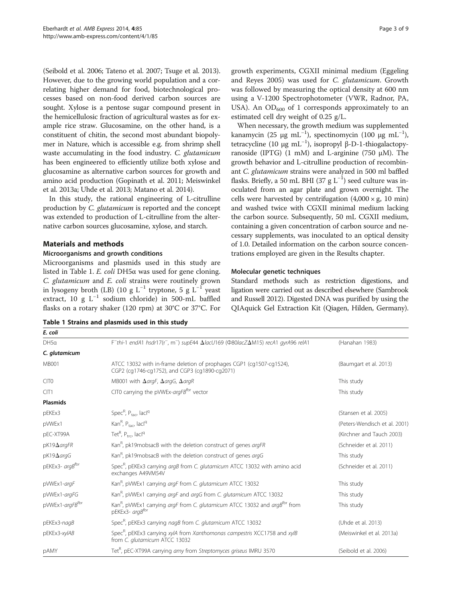<span id="page-2-0"></span>(Seibold et al. [2006](#page-8-0); Tateno et al. [2007;](#page-8-0) Tsuge et al. [2013](#page-8-0)). However, due to the growing world population and a correlating higher demand for food, biotechnological processes based on non-food derived carbon sources are sought. Xylose is a pentose sugar compound present in the hemicellulosic fraction of agricultural wastes as for example rice straw. Glucosamine, on the other hand, is a constituent of chitin, the second most abundant biopolymer in Nature, which is accessible e.g. from shrimp shell waste accumulating in the food industry. C. glutamicum has been engineered to efficiently utilize both xylose and glucosamine as alternative carbon sources for growth and amino acid production (Gopinath et al. [2011](#page-7-0); Meiswinkel et al. [2013a;](#page-7-0) Uhde et al. [2013;](#page-8-0) Matano et al. [2014\)](#page-7-0).

In this study, the rational engineering of L-citrulline production by C. glutamicum is reported and the concept was extended to production of L-citrulline from the alternative carbon sources glucosamine, xylose, and starch.

## Materials and methods

#### Microorganisms and growth conditions

Microorganisms and plasmids used in this study are listed in Table 1. E. coli DH5α was used for gene cloning. C. glutamicum and E. coli strains were routinely grown in lysogeny broth (LB) (10 g L<sup>-1</sup> tryptone, 5 g L<sup>-1</sup> yeast extract, 10 g  $L^{-1}$  sodium chloride) in 500-mL baffled flasks on a rotary shaker (120 rpm) at 30°C or 37°C. For

| Table 1 Strains and plasmids used in this study |  |  |  |  |  |  |  |  |  |
|-------------------------------------------------|--|--|--|--|--|--|--|--|--|
|-------------------------------------------------|--|--|--|--|--|--|--|--|--|

growth experiments, CGXII minimal medium (Eggeling and Reyes [2005\)](#page-7-0) was used for C. glutamicum. Growth was followed by measuring the optical density at 600 nm using a V-1200 Spectrophotometer (VWR, Radnor, PA, USA). An  $OD_{600}$  of 1 corresponds approximately to an estimated cell dry weight of 0.25 g/L.

When necessary, the growth medium was supplemented kanamycin (25 μg mL<sup>-1</sup>), spectinomycin (100 μg mL<sup>-1</sup>), tetracycline (10 μg mL<sup>-1</sup>), isopropyl β-D-1-thiogalactopyranoside (IPTG) (1 mM) and L-arginine (750 μM). The growth behavior and L-citrulline production of recombinant C. glutamicum strains were analyzed in 500 ml baffled flasks. Briefly, a 50 mL BHI (37 g  $L^{-1}$ ) seed culture was inoculated from an agar plate and grown overnight. The cells were harvested by centrifugation  $(4,000 \times g, 10 \text{ min})$ and washed twice with CGXII minimal medium lacking the carbon source. Subsequently, 50 mL CGXII medium, containing a given concentration of carbon source and necessary supplements, was inoculated to an optical density of 1.0. Detailed information on the carbon source concentrations employed are given in the [Results](#page-3-0) chapter.

#### Molecular genetic techniques

Standard methods such as restriction digestions, and ligation were carried out as described elsewhere (Sambrook and Russell [2012](#page-7-0)). Digested DNA was purified by using the QIAquick Gel Extraction Kit (Qiagen, Hilden, Germany).

| E. coli                   |                                                                                                                                    |                               |  |
|---------------------------|------------------------------------------------------------------------------------------------------------------------------------|-------------------------------|--|
| DH5a                      | $F$ -thi-1 endA1 hsdr17(r <sup>-</sup> , m <sup>-</sup> ) supE44 $\Delta$ lacU169 ( $\Phi$ 80lacZ $\Delta$ M15) recA1 gyrA96 relA1 | (Hanahan 1983)                |  |
| C. glutamicum             |                                                                                                                                    |                               |  |
| <b>MB001</b>              | ATCC 13032 with in-frame deletion of prophages CGP1 (cg1507-cg1524),<br>CGP2 (cg1746-cg1752), and CGP3 (cg1890-cg2071)             | (Baumgart et al. 2013)        |  |
| CIT <sub>0</sub>          | MB001 with $\Delta$ argF, $\Delta$ argG, $\Delta$ argR                                                                             | This study                    |  |
| CIT1                      | CITO carrying the pVWEx-argFB <sup>tbr</sup> vector                                                                                | This study                    |  |
| <b>Plasmids</b>           |                                                                                                                                    |                               |  |
| pEKEx3                    | Spec $R$ , Ptac, lacl <sup>q</sup>                                                                                                 | (Stansen et al. 2005)         |  |
| pVWEx1                    | Kan <sup>R</sup> , $P_{tac}$ , lacl <sup>q</sup>                                                                                   | (Peters-Wendisch et al. 2001) |  |
| pEC-XT99A                 | Tet <sup>R</sup> , $P_{\text{trc}}$ , lacl <sup>q</sup>                                                                            | (Kirchner and Tauch 2003)     |  |
| $pK19\Delta argFR$        | Kan <sup>R</sup> , pk19mobsacB with the deletion construct of genes argFR                                                          | (Schneider et al. 2011)       |  |
| $pK19\Delta \text{arg} G$ | Kan <sup>R</sup> , pk19mobsacB with the deletion construct of genes argG                                                           | This study                    |  |
| pEKEx3- argBfbr           | Spec <sup>R</sup> , pEKEx3 carrying argB from C. glutamicum ATCC 13032 with amino acid<br>exchanges A49VM54V                       | (Schneider et al. 2011)       |  |
| pVWEx1-argF               | Kan <sup>R</sup> , pVWEx1 carrying argF from C. glutamicum ATCC 13032                                                              | This study                    |  |
| pVWEx1-argFG              | Kan <sup>R</sup> , pVWEx1 carrying <i>argF</i> and <i>argG</i> from C. <i>glutamicum</i> ATCC 13032                                | This study                    |  |
| pVWEx1-argFBfbr           | Kan <sup>R</sup> , pVWEx1 carrying argF from C. glutamicum ATCC 13032 and argB <sup>fbr</sup> from<br>pEKEx3- argB <sup>tbr</sup>  | This study                    |  |
| pEKEx3-nagB               | Spec <sup>R</sup> , pEKEx3 carrying nagB from C. glutamicum ATCC 13032                                                             | (Uhde et al. 2013)            |  |
| pEKEx3-xylAB              | Spec <sup>R</sup> , pEKEx3 carrying xylA from Xanthomonas campestris XCC1758 and xylB<br>from C. glutamicum ATCC 13032             | (Meiswinkel et al. 2013a)     |  |
| pAMY                      | Tet <sup>R</sup> , pEC-XT99A carrying amy from Streptomyces griseus IMRU 3570                                                      | (Seibold et al. 2006)         |  |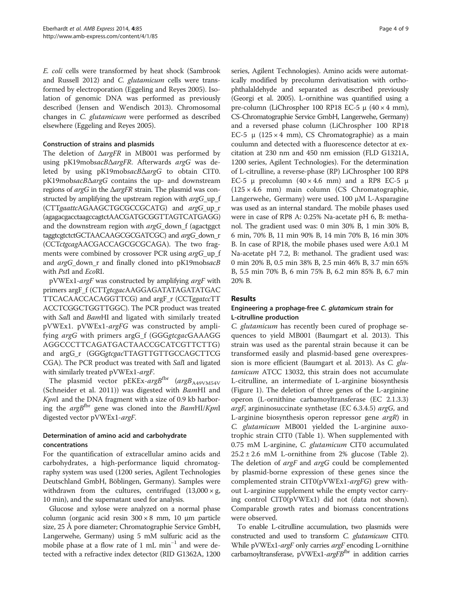<span id="page-3-0"></span>E. coli cells were transformed by heat shock (Sambrook and Russell [2012\)](#page-7-0) and C. glutamicum cells were transformed by electroporation (Eggeling and Reyes [2005](#page-7-0)). Isolation of genomic DNA was performed as previously described (Jensen and Wendisch [2013](#page-7-0)). Chromosomal changes in C. glutamicum were performed as described elsewhere (Eggeling and Reyes [2005\)](#page-7-0).

## Construction of strains and plasmids

The deletion of ΔargFR in MB001 was performed by using pK19mobsacBΔargFR. Afterwards argG was deleted by using pK19mobsacBΔargG to obtain CIT0. pK19mobsacBΔargG contains the up- and downstream regions of argG in the ΔargFR strain. The plasmid was constructed by amplifying the upstream region with *argG* up f (CTTgaattcAGAAGCTGCGCCGCATG) and argG\_up\_r (agagacgacctaagccagtctAACGATGCGGTTAGTCATGAGG) and the downstream region with  $argG_d$  down f (agactggct taggtcgtctctGCTAACAAGCGCGATCGC) and argG\_down\_r (CCTctgcagAACGACCAGCGCGCAGA). The two fragments were combined by crossover PCR using argG\_up\_f and *argG\_down\_r* and finally cloned into pK19mobs*acB* with PstI and EcoRI.

pVWEx1-argF was constructed by amplifying argF with primers argF\_f (CTTgtcgacAAGGAGATATAGATATGAC TTCACAACCACAGGTTCG) and argF\_r (CCTggatccTT ACCTCGGCTGGTTGGC). The PCR product was treated with SalI and BamHI and ligated with similarly treated pVWEx1. pVWEx1-argFG was constructed by amplifying argG with primers argG\_f (GGGgtcgacGAAAGG AGGCCCTTCAGATGACTAACCGCATCGTTCTTG) and argG\_r (GGGgtcgacTTAGTTGTTGCCAGCTTCG CGA). The PCR product was treated with SalI and ligated with similarly treated pVWEx1-argF.

The plasmid vector pEKEx-argBfbr ( $argB_{A49VM54V}$ (Schneider et al. [2011](#page-7-0))) was digested with BamHI and KpnI and the DNA fragment with a size of 0.9 kb harboring the  $argB<sup>thr</sup>$  gene was cloned into the  $BamHI/KpnI$ digested vector pVWEx1-argF.

## Determination of amino acid and carbohydrate concentrations

For the quantification of extracellular amino acids and carbohydrates, a high-performance liquid chromatography system was used (1200 series, Agilent Technologies Deutschland GmbH, Böblingen, Germany). Samples were withdrawn from the cultures, centrifuged  $(13,000 \times g,$ 10 min), and the supernatant used for analysis.

Glucose and xylose were analyzed on a normal phase column (organic acid resin 300 × 8 mm, 10 μm particle size, 25 Å pore diameter; Chromatographie Service GmbH, Langerwehe, Germany) using 5 mM sulfuric acid as the mobile phase at a flow rate of 1 mL min<sup>-1</sup> and were detected with a refractive index detector (RID G1362A, 1200

series, Agilent Technologies). Amino acids were automatically modified by precolumn derivatisation with orthophthalaldehyde and separated as described previously (Georgi et al. [2005](#page-7-0)). L-ornithine was quantified using a pre-column (LiChrospher 100 RP18 EC-5 μ  $(40 \times 4 \text{ mm})$ , CS-Chromatographie Service GmbH, Langerwehe, Germany) and a reversed phase column (LiChrospher 100 RP18 EC-5 μ (125 × 4 mm), CS Chromatographie) as a main coulumn and detected with a fluorescence detector at excitation at 230 nm and 450 nm emission (FLD G1321A, 1200 series, Agilent Technologies). For the determination of L-citrulline, a reverse-phase (RP) LiChrospher 100 RP8 EC-5 μ precolumn  $(40 \times 4.6$  mm) and a RP8 EC-5 μ (125 × 4.6 mm) main column (CS Chromatographie, Langerwehe, Germany) were used. 100 μM L-Asparagine was used as an internal standard. The mobile phases used were in case of RP8 A: 0.25% Na-acetate pH 6, B: methanol. The gradient used was: 0 min 30% B, 1 min 30% B, 6 min, 70% B, 11 min 90% B, 14 min 70% B, 16 min 30% B. In case of RP18, the mobile phases used were A:0.1 M Na-acetate pH 7.2, B: methanol. The gradient used was: 0 min 20% B, 0.5 min 38% B, 2.5 min 46% B, 3.7 min 65% B, 5.5 min 70% B, 6 min 75% B, 6.2 min 85% B, 6.7 min 20% B.

## Results

## Engineering a prophage-free C. glutamicum strain for L-citrulline production

C. glutamicum has recently been cured of prophage sequences to yield MB001 (Baumgart et al. [2013\)](#page-7-0). This strain was used as the parental strain because it can be transformed easily and plasmid-based gene overexpression is more efficient (Baumgart et al. [2013\)](#page-7-0). As C. glutamicum ATCC 13032, this strain does not accumulate L-citrulline, an intermediate of L-arginine biosynthesis (Figure [1\)](#page-1-0). The deletion of three genes of the L-arginine operon (L-ornithine carbamoyltransferase (EC 2.1.3.3) argF, argininosuccinate synthetase (EC 6.3.4.5) argG, and L-arginine biosynthesis operon repressor gene argR) in C. glutamicum MB001 yielded the L-arginine auxotrophic strain CIT0 (Table [1\)](#page-2-0). When supplemented with 0.75 mM L-arginine, C. glutamicum CIT0 accumulated  $25.2 \pm 2.6$  $25.2 \pm 2.6$  $25.2 \pm 2.6$  mM L-ornithine from 2% glucose (Table 2). The deletion of *argF* and *argG* could be complemented by plasmid-borne expression of these genes since the complemented strain CIT0(pVWEx1-argFG) grew without L-arginine supplement while the empty vector carrying control CIT0(pVWEx1) did not (data not shown). Comparable growth rates and biomass concentrations were observed.

To enable L-citrulline accumulation, two plasmids were constructed and used to transform C. glutamicum CIT0. While pVWEx1-argF only carries argF encoding L-ornithine carbamoyltransferase, pVWEx1-argFBfbr in addition carries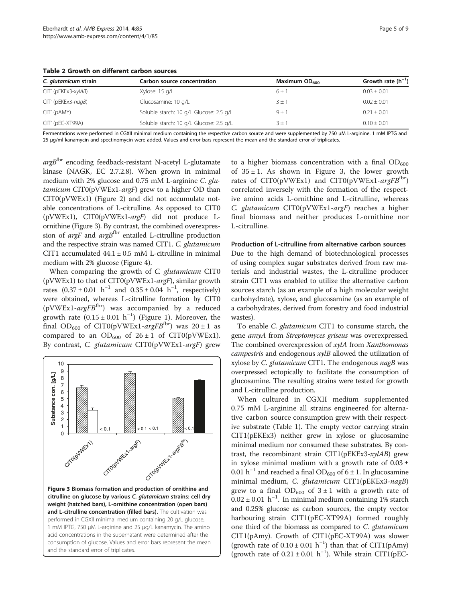<span id="page-4-0"></span>Table 2 Growth on different carbon sources

| C. glutamicum strain | Carbon source concentration             | Maximum $OD_{600}$ | Growth rate $(h^{-1})$ |
|----------------------|-----------------------------------------|--------------------|------------------------|
| $CIT1(pEKEx3-xy/AB)$ | Xylose: 15 g/L                          | $6+1$              | $0.03 \pm 0.01$        |
| CIT1(pEKEx3-nagB)    | Glucosamine: 10 g/L                     | $3 \pm 7$          | $0.02 \pm 0.01$        |
| CIT1(pAMY)           | Soluble starch: 10 g/L Glucose: 2.5 g/L | $9 \pm 7$          | $0.21 + 0.01$          |
| CIT1(pEC-XT99A)      | Soluble starch: 10 g/L Glucose: 2.5 g/L | $3 + 7$            | $0.10 + 0.01$          |

Fermentations were performed in CGXII minimal medium containing the respective carbon source and were supplemented by 750 μM L-arginine. 1 mM IPTG and 25 μg/ml kanamycin and spectinomycin were added. Values and error bars represent the mean and the standard error of triplicates.

 $argB$ <sup>fbr</sup> encoding feedback-resistant N-acetyl L-glutamate kinase (NAGK, EC 2.7.2.8). When grown in minimal medium with 2% glucose and 0.75 mM L-arginine C. glutamicum CIT0(pVWEx1-argF) grew to a higher OD than CIT0(pVWEx1) (Figure [2](#page-1-0)) and did not accumulate notable concentrations of L-citrulline. As opposed to CIT0 (pVWEx1), CIT0(pVWEx1-argF) did not produce Lornithine (Figure 3). By contrast, the combined overexpression of  $argF$  and  $argB$ <sup>fbr</sup> entailed L-citrulline production and the respective strain was named CIT1. C. glutamicum CIT1 accumulated  $44.1 \pm 0.5$  mM L-citrulline in minimal medium with 2% glucose (Figure [4](#page-5-0)).

When comparing the growth of C. glutamicum CIT0 ( $pVWEx1$ ) to that of CIT0( $pVWEx1-\text{arg}F$ ), similar growth rates  $(0.37 \pm 0.01 \text{ h}^{-1}$  and  $0.35 \pm 0.04 \text{ h}^{-1}$ , respectively) were obtained, whereas L-citrulline formation by CIT0 (pVWEx1- $argFB<sup>fbr</sup>$ ) was accompanied by a reduced growth rate  $(0.15 \pm 0.01 \text{ h}^{-1})$  (Figure [1](#page-1-0)). Moreover, the final OD<sub>600</sub> of CIT0(pVWEx1-argFB<sup>fbr</sup>) was  $20 \pm 1$  as compared to an  $OD_{600}$  of  $26 \pm 1$  of CIT0(pVWEx1). By contrast, C. glutamicum CIT0(pVWEx1-argF) grew



acid concentrations in the supernatant were determined after the consumption of glucose. Values and error bars represent the mean

and the standard error of triplicates.

to a higher biomass concentration with a final  $OD_{600}$ of  $35 \pm 1$ . As shown in Figure 3, the lower growth rates of  $CIT0(pVWEx1)$  and  $CIT0(pVWEx1-argFB<sup>fbr</sup>)$ correlated inversely with the formation of the respective amino acids L-ornithine and L-citrulline, whereas C. glutamicum CIT0(pVWEx1-argF) reaches a higher final biomass and neither produces L-ornithine nor L-citrulline.

#### Production of L-citrulline from alternative carbon sources

Due to the high demand of biotechnological processes of using complex sugar substrates derived from raw materials and industrial wastes, the L-citrulline producer strain CIT1 was enabled to utilize the alternative carbon sources starch (as an example of a high molecular weight carbohydrate), xylose, and glucosamine (as an example of a carbohydrates, derived from forestry and food industrial wastes).

To enable C. glutamicum CIT1 to consume starch, the gene amyA from Streptomyces griseus was overexpressed. The combined overexpression of xylA from Xanthomonas campestris and endogenous  $xylB$  allowed the utilization of xylose by C. glutamicum CIT1. The endogenous nagB was overpressed ectopically to facilitate the consumption of glucosamine. The resulting strains were tested for growth and L-citrulline production.

When cultured in CGXII medium supplemented 0.75 mM L-arginine all strains engineered for alternative carbon source consumption grew with their respective substrate (Table [1](#page-2-0)). The empty vector carrying strain CIT1(pEKEx3) neither grew in xylose or glucosamine minimal medium nor consumed these substrates. By contrast, the recombinant strain CIT1(pEKEx3-xylAB) grew in xylose minimal medium with a growth rate of  $0.03 \pm$ 0.01 h<sup>-1</sup> and reached a final OD<sub>600</sub> of 6 ± 1. In glucosamine minimal medium, C. glutamicum CIT1(pEKEx3-nagB) grew to a final  $OD_{600}$  of  $3 \pm 1$  with a growth rate of  $0.02 \pm 0.01$  h<sup>-1</sup>. In minimal medium containing 1% starch and 0.25% glucose as carbon sources, the empty vector harbouring strain CIT1(pEC-XT99A) formed roughly one third of the biomass as compared to C. glutamicum CIT1(pAmy). Growth of CIT1(pEC-XT99A) was slower (growth rate of  $0.10 \pm 0.01$  h<sup>-1</sup>) than that of CIT1(pAmy) (growth rate of  $0.21 \pm 0.01$  h<sup>-1</sup>). While strain CIT1(pEC-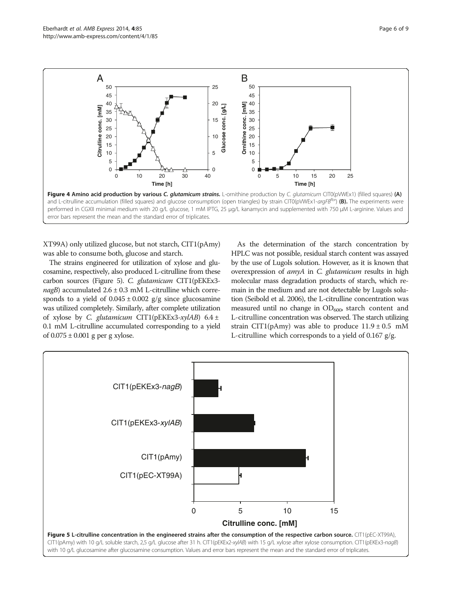<span id="page-5-0"></span>

XT99A) only utilized glucose, but not starch, CIT1(pAmy) was able to consume both, glucose and starch.

The strains engineered for utilization of xylose and glucosamine, respectively, also produced L-citrulline from these carbon sources (Figure 5). C. glutamicum CIT1(pEKEx3  $nagB$ ) accumulated  $2.6 \pm 0.3$  mM L-citrulline which corresponds to a yield of  $0.045 \pm 0.002$  g/g since glucosamine was utilized completely. Similarly, after complete utilization of xylose by C. glutamicum CIT1(pEKEx3-xylAB)  $6.4 \pm$ 0.1 mM L-citrulline accumulated corresponding to a yield of  $0.075 \pm 0.001$  g per g xylose.

As the determination of the starch concentration by HPLC was not possible, residual starch content was assayed by the use of Lugols solution. However, as it is known that overexpression of amyA in C. glutamicum results in high molecular mass degradation products of starch, which remain in the medium and are not detectable by Lugols solution (Seibold et al. [2006\)](#page-8-0), the L-citrulline concentration was measured until no change in  $OD<sub>600</sub>$ , starch content and L-citrulline concentration was observed. The starch utilizing strain CIT1(pAmy) was able to produce  $11.9 \pm 0.5$  mM L-citrulline which corresponds to a yield of 0.167 g/g.

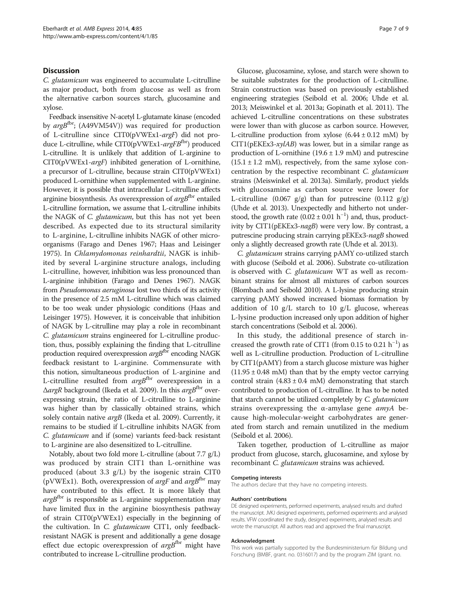### **Discussion**

C. glutamicum was engineered to accumulate L-citrulline as major product, both from glucose as well as from the alternative carbon sources starch, glucosamine and xylose.

Feedback insensitive N-acetyl L-glutamate kinase (encoded by argB<sup>fbr</sup>; (A49VM54V)) was required for production of L-citrulline since CIT0(pVWEx1-argF) did not produce L-citrulline, while  $CIT0(pVWEx1-argFB<sup>fbr</sup>)$  produced L-citrulline. It is unlikely that addition of L-arginine to CIT0(pVWEx1-argF) inhibited generation of L-ornithine, a precursor of L-citrulline, because strain CIT0(pVWEx1) produced L-ornithine when supplemented with L-arginine. However, it is possible that intracellular L-citrulline affects arginine biosynthesis. As overexpression of  $argB<sup>fbr</sup>$  entailed L-citrulline formation, we assume that L-citrulline inhibits the NAGK of C. glutamicum, but this has not yet been described. As expected due to its structural similarity to L-arginine, L-citrulline inhibits NAGK of other microorganisms (Farago and Denes [1967](#page-7-0); Haas and Leisinger [1975\)](#page-7-0). In Chlamydomonas reinhardtii, NAGK is inhibited by several L-arginine structure analogs, including L-citrulline, however, inhibition was less pronounced than L-arginine inhibition (Farago and Denes [1967\)](#page-7-0). NAGK from Pseudomonas aeruginosa lost two thirds of its activity in the presence of 2.5 mM L-citrulline which was claimed to be too weak under physiologic conditions (Haas and Leisinger [1975](#page-7-0)). However, it is conceivable that inhibition of NAGK by L-citrulline may play a role in recombinant C. glutamicum strains engineered for L-citrulline production, thus, possibly explaining the finding that L-citrulline production required overexpression  $argB<sup>f</sup>$  encoding NAGK feedback resistant to L-arginine. Commensurate with this notion, simultaneous production of L-arginine and L-citrulline resulted from  $argB<sup>fbr</sup>$  overexpression in a  $\triangle$ *argR* background (Ikeda et al. [2009](#page-7-0)). In this *argB*<sup>fbr</sup> overexpressing strain, the ratio of L-citrulline to L-arginine was higher than by classically obtained strains, which solely contain native argB (Ikeda et al. [2009](#page-7-0)). Currently, it remains to be studied if L-citrulline inhibits NAGK from C. glutamicum and if (some) variants feed-back resistant to L-arginine are also desensitized to L-citrulline.

Notably, about two fold more L-citrulline (about 7.7 g/L) was produced by strain CIT1 than L-ornithine was produced (about 3.3 g/L) by the isogenic strain CIT0 (pVWEx1). Both, overexpression of  $argF$  and  $argB$ <sup>thr</sup> may have contributed to this effect. It is more likely that  $argB<sup>fbr</sup>$  is responsible as L-arginine supplementation may have limited flux in the arginine biosynthesis pathway of strain CIT0(pVWEx1) especially in the beginning of the cultivation. In C. glutamicum CIT1, only feedbackresistant NAGK is present and additionally a gene dosage effect due ectopic overexpression of  $argB<sup>fbr</sup>$  might have contributed to increase L-citrulline production.

Glucose, glucosamine, xylose, and starch were shown to be suitable substrates for the production of L-citrulline. Strain construction was based on previously established engineering strategies (Seibold et al. [2006;](#page-8-0) Uhde et al. [2013](#page-8-0); Meiswinkel et al. [2013a](#page-7-0); Gopinath et al. [2011](#page-7-0)). The achieved L-citrulline concentrations on these substrates were lower than with glucose as carbon source. However, L-citrulline production from xylose  $(6.44 \pm 0.12 \text{ mM})$  by  $CIT1(pEKEx3-xyIAB)$  was lower, but in a similar range as production of L-ornithine  $(19.6 \pm 1.9 \text{ mM})$  and putrescine  $(15.1 \pm 1.2 \text{ mM})$ , respectively, from the same xylose concentration by the respective recombinant C. glutamicum strains (Meiswinkel et al. [2013a\)](#page-7-0). Similarly, product yields with glucosamine as carbon source were lower for L-citrulline (0.067  $g/g$ ) than for putrescine (0.112  $g/g$ ) (Uhde et al. [2013](#page-8-0)). Unexpectedly and hitherto not understood, the growth rate  $(0.02 \pm 0.01 \text{ h}^{-1})$  and, thus, productivity by CIT1(pEKEx3-nagB) were very low. By contrast, a putrescine producing strain carrying pEKEx3-nagB showed only a slightly decreased growth rate (Uhde et al. [2013](#page-8-0)).

C. glutamicum strains carrying pAMY co-utilized starch with glucose (Seibold et al. [2006](#page-8-0)). Substrate co-utilization is observed with C. glutamicum WT as well as recombinant strains for almost all mixtures of carbon sources (Blombach and Seibold [2010\)](#page-7-0). A L-lysine producing strain carrying pAMY showed increased biomass formation by addition of 10 g/L starch to 10 g/L glucose, whereas L-lysine production increased only upon addition of higher starch concentrations (Seibold et al. [2006\)](#page-8-0).

In this study, the additional presence of starch increased the growth rate of CIT1 (from 0.15 to 0.21  $h^{-1}$ ) as well as L-citrulline production. Production of L-citrulline by CIT1(pAMY) from a starch glucose mixture was higher  $(11.95 \pm 0.48 \text{ m})$  than that by the empty vector carrying control strain  $(4.83 \pm 0.4 \text{ mM})$  demonstrating that starch contributed to production of L-citrulline. It has to be noted that starch cannot be utilized completely by C. glutamicum strains overexpressing the  $\alpha$ -amylase gene  $amyA$  because high-molecular-weight carbohydrates are generated from starch and remain unutilized in the medium (Seibold et al. [2006\)](#page-8-0).

Taken together, production of L-citrulline as major product from glucose, starch, glucosamine, and xylose by recombinant C. glutamicum strains was achieved.

#### Competing interests

The authors declare that they have no competing interests.

#### Authors' contributions

DE designed experiments, performed experiments, analysed results and drafted the manuscript. JVKJ designed experiments, performed experiments and analysed results. VFW coordinated the study, designed experiments, analysed results and wrote the manuscript. All authors read and approved the final manuscript.

#### Acknowledgment

This work was partially supported by the Bundesministerium für Bildung und Forschung (BMBF, grant. no. 0316017) and by the program ZIM (grant. no.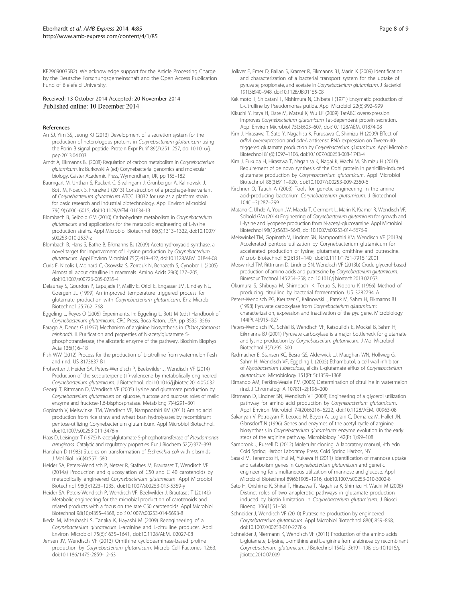<span id="page-7-0"></span>KF2969003SB2). We acknowledge support for the Article Processing Charge by the Deutsche Forschungsgemeinschaft and the Open Access Publication Fund of Bielefeld University.

#### Received: 13 October 2014 Accepted: 20 November 2014 Published online: 10 December 2014

#### References

- An SJ, Yim SS, Jeong KJ (2013) Development of a secretion system for the production of heterologous proteins in Corynebacterium glutamicum using the Porin B signal peptide. Protein Expr Purif 89(2):251–257, doi:10.1016/j. pep.2013.04.003
- Arndt A, Eikmanns BJ (2008) Regulation of carbon metabolism in Corynebacterium glutamicum. In: Burkovski A (ed) Corynebacteria: genomics and molecular biology. Caister Academic Press, Wymondham, UK, pp 155–182
- Baumgart M, Unthan S, Ruckert C, Sivalingam J, Grunberger A, Kalinowski J, Bott M, Noack S, Frunzke J (2013) Construction of a prophage-free variant of Corynebacterium glutamicum ATCC 13032 for use as a platform strain for basic research and industrial biotechnology. Appl Environ Microbiol 79(19):6006–6015, doi:10.1128/AEM. 01634-13
- Blombach B, Seibold GM (2010) Carbohydrate metabolism in Corynebacterium glutamicum and applications for the metabolic engineering of L-lysine production strains. Appl Microbiol Biotechnol 86(5):1313–1322, doi:10.1007/ s00253-010-2537-z
- Blombach B, Hans S, Bathe B, Eikmanns BJ (2009) Acetohydroxyacid synthase, a novel target for improvement of L-lysine production by Corynebacterium glutamicum. Appl Environ Microbiol 75(2):419–427, doi:10.1128/AEM. 01844-08
- Curis E, Nicolis I, Moinard C, Osowska S, Zerrouk N, Benazeth S, Cynober L (2005) Almost all about citrulline in mammals. Amino Acids 29(3):177–205, doi:10.1007/s00726-005-0235-4
- Delaunay S, Gourdon P, Lapujade P, Mailly E, Oriol E, Engasser JM, Lindley NL, Goergen JL (1999) An improved temperature triggered process for glutamate production with Corynebacterium glutamicum. Enz Microb Biotechnol 25:762–768
- Eggeling L, Reyes O (2005) Experiments. In: Eggeling L, Bott M (eds) Handbook of Corynebacterium glutamicum. CRC Press, Boca Raton, USA, pp 3535–3566
- Farago A, Denes G (1967) Mechanism of arginine biosynthesis in Chlamydomonas reinhardti. II. Purification and properties of N-acetylglutamate 5 phosphotransferase, the allosteric enzyme of the pathway. Biochim Biophys Acta 136(1):6–18
- Fish WW (2012) Process for the production of L-citrulline from watermelon flesh and rind. US 8173837 B1
- Frohwitter J, Heider SA, Peters-Wendisch P, Beekwilder J, Wendisch VF (2014) Production of the sesquiterpene (+)-valencene by metabolically engineered Corynebacterium glutamicum. J Biotechnol. doi:10.1016/j.jbiotec.2014.05.032
- Georgi T, Rittmann D, Wendisch VF (2005) Lysine and glutamate production by Corynebacterium glutamicum on glucose, fructose and sucrose: roles of malic enzyme and fructose-1,6-bisphosphatase. Metab Eng 7(4):291–301
- Gopinath V, Meiswinkel TM, Wendisch VF, Nampoothiri KM (2011) Amino acid production from rice straw and wheat bran hydrolysates by recombinant pentose-utilizing Corynebacterium glutamicum. Appl Microbiol Biotechnol. doi:10.1007/s00253-011-3478-x
- Haas D, Leisinger T (1975) N-acetylglutamate 5-phosphotransferase of Pseudomonas aeruginosa. Catalytic and regulatory properties. Eur J Biochem 52(2):377–393
- Hanahan D (1983) Studies on transformation of Escherichia coli with plasmids. J Mol Biol 166(4):557–580
- Heider SA, Peters-Wendisch P, Netzer R, Stafnes M, Brautaset T, Wendisch VF (2014a) Production and glucosylation of C50 and C 40 carotenoids by metabolically engineered Corynebacterium glutamicum. Appl Microbiol Biotechnol 98(3):1223–1235, doi:10.1007/s00253-013-5359-y
- Heider SA, Peters-Wendisch P, Wendisch VF, Beekwilder J, Brautaset T (2014b) Metabolic engineering for the microbial production of carotenoids and related products with a focus on the rare C50 carotenoids. Appl Microbiol Biotechnol 98(10):4355–4368, doi:10.1007/s00253-014-5693-8
- Ikeda M, Mitsuhashi S, Tanaka K, Hayashi M (2009) Reengineering of a Corynebacterium glutamicum L-arginine and L-citrulline producer. Appl Environ Microbiol 75(6):1635–1641, doi:10.1128/AEM. 02027-08
- Jensen JV, Wendisch VF (2013) Ornithine cyclodeaminase-based proline production by Corynebacterium glutamicum. Microb Cell Factories 12:63, doi:10.1186/1475-2859-12-63
- Jolkver E, Emer D, Ballan S, Kramer R, Eikmanns BJ, Marin K (2009) Identification and characterization of a bacterial transport system for the uptake of pyruvate, propionate, and acetate in Corynebacterium glutamicum. J Bacteriol 191(3):940–948, doi:10.1128/JB.01155-08
- Kakimoto T, Shibatani T, Nishimura N, Chibata I (1971) Enzymatic production of L-citrulline by Pseudomonas putida. Appl Microbiol 22(6):992–999
- Kikuchi Y, Itaya H, Date M, Matsui K, Wu LF (2009) TatABC overexpression improves Corynebacterium glutamicum Tat-dependent protein secretion. Appl Environ Microbiol 75(3):603–607, doi:10.1128/AEM. 01874-08
- Kim J, Hirasawa T, Sato Y, Nagahisa K, Furusawa C, Shimizu H (2009) Effect of odhA overexpression and odhA antisense RNA expression on Tween-40 triggered glutamate production by Corynebacterium glutamicum. Appl Microbiol Biotechnol 81(6):1097–1106, doi:10.1007/s00253-008-1743-4
- Kim J, Fukuda H, Hirasawa T, Nagahisa K, Nagai K, Wachi M, Shimizu H (2010) Requirement of de novo synthesis of the OdhI protein in penicillin-induced glutamate production by Corynebacterium glutamicum. Appl Microbiol Biotechnol 86(3):911–920, doi:10.1007/s00253-009-2360-6
- Kirchner O, Tauch A (2003) Tools for genetic engineering in the amino acid-producing bacterium Corynebacterium glutamicum. J Biotechnol 104(1–3):287–299
- Matano C, Uhde A, Youn JW, Maeda T, Clermont L, Marin K, Kramer R, Wendisch VF, Seibold GM (2014) Engineering of Corynebacterium glutamicum for growth and L-lysine and lycopene production from N-acetyl-glucosamine. Appl Microbiol Biotechnol 98(12):5633–5643, doi:10.1007/s00253-014-5676-9
- Meiswinkel TM, Gopinath V, Lindner SN, Nampoothiri KM, Wendisch VF (2013a) Accelerated pentose utilization by Corynebacterium glutamicum for accelerated production of lysine, glutamate, ornithine and putrescine. Microb Biotechnol 6(2):131–140, doi:10.1111/1751-7915.12001
- Meiswinkel TM, Rittmann D, Lindner SN, Wendisch VF (2013b) Crude glycerol-based production of amino acids and putrescine by Corynebacterium glutamicum. Bioresour Technol 145:254–258, doi:10.1016/j.biortech.2013.02.053
- Okumura S, Shibuya M, Shimpachi K, Teruo S, Noboru K (1966) Method of producing citrulline by bacterial fermentation. US 3282794 A
- Peters-Wendisch PG, Kreutzer C, Kalinowski J, Patek M, Sahm H, Eikmanns BJ (1998) Pyruvate carboxylase from Corynebacterium glutamicum: characterization, expression and inactivation of the pyc gene. Microbiology 144(Pt 4):915–927
- Peters-Wendisch PG, Schiel B, Wendisch VF, Katsoulidis E, Mockel B, Sahm H, Eikmanns BJ (2001) Pyruvate carboxylase is a major bottleneck for glutamate and lysine production by Corynebacterium glutamicum. J Mol Microbiol Biotechnol 3(2):295–300
- Radmacher E, Stansen KC, Besra GS, Alderwick LJ, Maughan WN, Hollweg G, Sahm H, Wendisch VF, Eggeling L (2005) Ethambutol, a cell wall inhibitor of Mycobacterium tuberculosis, elicits L-glutamate efflux of Corynebacterium glutamicum. Microbiology 151(Pt 5):1359–1368
- Rimando AM, Perkins-Veazie PM (2005) Determination of citrulline in watermelon rind. J Chromatogr A 1078(1–2):196–200
- Rittmann D, Lindner SN, Wendisch VF (2008) Engineering of a glycerol utilization pathway for amino acid production by Corynebacterium glutamicum. Appl Environ Microbiol 74(20):6216–6222, doi:10.1128/AEM. 00963-08
- Sakanyan V, Petrosyan P, Lecocq M, Boyen A, Legrain C, Demarez M, Hallet JN, Glansdorff N (1996) Genes and enzymes of the acetyl cycle of arginine biosynthesis in Corynebacterium glutamicum: enzyme evolution in the early steps of the arginine pathway. Microbiology 142(Pt 1):99–108
- Sambrook J, Russell D (2012) Molecular cloning. A laboratory manual, 4th edn. Cold Spring Harbor Laboratoy Press, Cold Spring Harbor, NY
- Sasaki M, Teramoto H, Inui M, Yukawa H (2011) Identification of mannose uptake and catabolism genes in Corynebacterium glutamicum and genetic engineering for simultaneous utilization of mannose and glucose. Appl Microbiol Biotechnol 89(6):1905–1916, doi:10.1007/s00253-010-3002-8
- Sato H, Orishimo K, Shirai T, Hirasawa T, Nagahisa K, Shimizu H, Wachi M (2008) Distinct roles of two anaplerotic pathways in glutamate production induced by biotin limitation in Corynebacterium glutamicum. J Biosci Bioeng 106(1):51–58
- Schneider J, Wendisch VF (2010) Putrescine production by engineered Corynebacterium glutamicum. Appl Microbiol Biotechnol 88(4):859–868, doi:10.1007/s00253-010-2778-x
- Schneider J, Niermann K, Wendisch VF (2011) Production of the amino acids L-glutamate, L-lysine, L-ornithine and L-arginine from arabinose by recombinant Corynebacterium glutamicum. J Biotechnol 154(2–3):191–198, doi:10.1016/j. jbiotec.2010.07.009